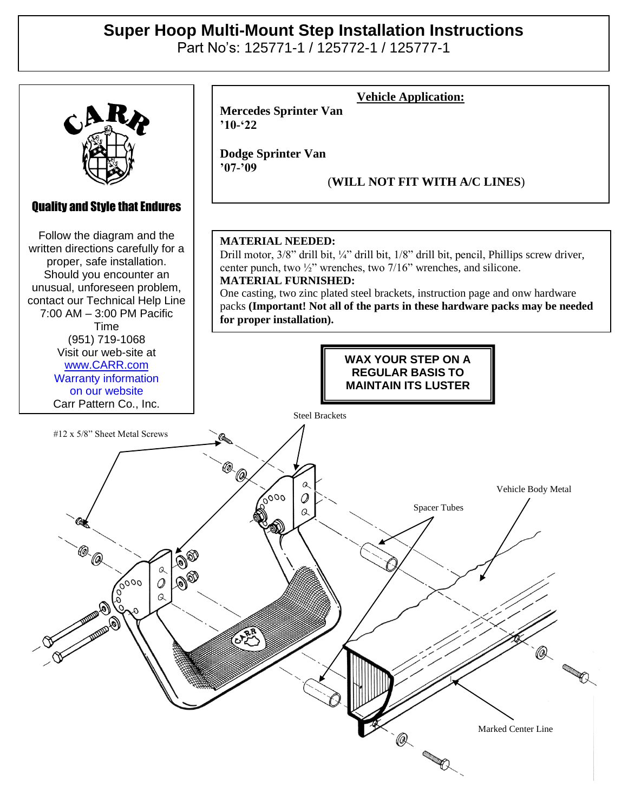## **Super Hoop Multi-Mount Step Installation Instructions**

Part No's: 125771-1 / 125772-1 / 125777-1